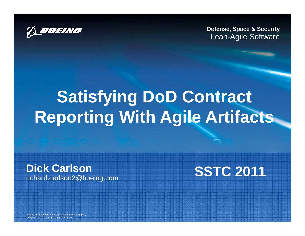

**Defense, Space & Security** Lean-Agile Software

# **Satisfying DoD Contract Reporting With Agile Artifacts**

**Dick Carlson** richard.carlson2@boeing.com **SSTC 2011**

BOEING is a trademark of Boeing Management Company. Copyright © 2011 Boeing. All rights reserved.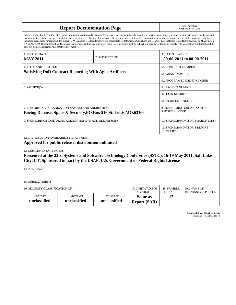| <b>Report Documentation Page</b>                                                                                                                                                                                                                                                                                                                                                                                                                                                                                                                                                                                                                                                                                                                                                                                                                                   |                             |                              |                                                   | Form Approved<br>OMB No. 0704-0188                  |                           |  |
|--------------------------------------------------------------------------------------------------------------------------------------------------------------------------------------------------------------------------------------------------------------------------------------------------------------------------------------------------------------------------------------------------------------------------------------------------------------------------------------------------------------------------------------------------------------------------------------------------------------------------------------------------------------------------------------------------------------------------------------------------------------------------------------------------------------------------------------------------------------------|-----------------------------|------------------------------|---------------------------------------------------|-----------------------------------------------------|---------------------------|--|
| Public reporting burden for the collection of information is estimated to average 1 hour per response, including the time for reviewing instructions, searching existing data sources, gathering and<br>maintaining the data needed, and completing and reviewing the collection of information. Send comments regarding this burden estimate or any other aspect of this collection of information,<br>including suggestions for reducing this burden, to Washington Headquarters Services, Directorate for Information Operations and Reports, 1215 Jefferson Davis Highway, Suite 1204, Arlington<br>VA 22202-4302. Respondents should be aware that notwithstanding any other provision of law, no person shall be subject to a penalty for failing to comply with a collection of information if it<br>does not display a currently valid OMB control number. |                             |                              |                                                   |                                                     |                           |  |
| 1. REPORT DATE<br>2. REPORT TYPE<br><b>MAY 2011</b>                                                                                                                                                                                                                                                                                                                                                                                                                                                                                                                                                                                                                                                                                                                                                                                                                |                             |                              |                                                   | <b>3. DATES COVERED</b><br>00-00-2011 to 00-00-2011 |                           |  |
| <b>4. TITLE AND SUBTITLE</b>                                                                                                                                                                                                                                                                                                                                                                                                                                                                                                                                                                                                                                                                                                                                                                                                                                       |                             |                              |                                                   | 5a. CONTRACT NUMBER                                 |                           |  |
| <b>Satisfying DoD Contract Reporting With Agile Artifacts</b>                                                                                                                                                                                                                                                                                                                                                                                                                                                                                                                                                                                                                                                                                                                                                                                                      |                             |                              |                                                   | <b>5b. GRANT NUMBER</b>                             |                           |  |
|                                                                                                                                                                                                                                                                                                                                                                                                                                                                                                                                                                                                                                                                                                                                                                                                                                                                    |                             |                              |                                                   | 5c. PROGRAM ELEMENT NUMBER                          |                           |  |
| 6. AUTHOR(S)                                                                                                                                                                                                                                                                                                                                                                                                                                                                                                                                                                                                                                                                                                                                                                                                                                                       |                             |                              |                                                   | 5d. PROJECT NUMBER                                  |                           |  |
|                                                                                                                                                                                                                                                                                                                                                                                                                                                                                                                                                                                                                                                                                                                                                                                                                                                                    |                             |                              |                                                   | <b>5e. TASK NUMBER</b>                              |                           |  |
|                                                                                                                                                                                                                                                                                                                                                                                                                                                                                                                                                                                                                                                                                                                                                                                                                                                                    |                             |                              |                                                   | 5f. WORK UNIT NUMBER                                |                           |  |
| 7. PERFORMING ORGANIZATION NAME(S) AND ADDRESS(ES)<br>Boeing Defense, Space & Security, PO Box 516, St. Louis, MO, 63166                                                                                                                                                                                                                                                                                                                                                                                                                                                                                                                                                                                                                                                                                                                                           |                             |                              |                                                   | 8. PERFORMING ORGANIZATION<br><b>REPORT NUMBER</b>  |                           |  |
| 9. SPONSORING/MONITORING AGENCY NAME(S) AND ADDRESS(ES)                                                                                                                                                                                                                                                                                                                                                                                                                                                                                                                                                                                                                                                                                                                                                                                                            |                             |                              |                                                   | 10. SPONSOR/MONITOR'S ACRONYM(S)                    |                           |  |
|                                                                                                                                                                                                                                                                                                                                                                                                                                                                                                                                                                                                                                                                                                                                                                                                                                                                    |                             |                              |                                                   | 11. SPONSOR/MONITOR'S REPORT<br>NUMBER(S)           |                           |  |
| 12. DISTRIBUTION/AVAILABILITY STATEMENT                                                                                                                                                                                                                                                                                                                                                                                                                                                                                                                                                                                                                                                                                                                                                                                                                            |                             |                              |                                                   |                                                     |                           |  |
| Approved for public release; distribution unlimited                                                                                                                                                                                                                                                                                                                                                                                                                                                                                                                                                                                                                                                                                                                                                                                                                |                             |                              |                                                   |                                                     |                           |  |
| <b>13. SUPPLEMENTARY NOTES</b><br>Presented at the 23rd Systems and Software Technology Conference (SSTC), 16-19 May 2011, Salt Lake<br>City, UT. Sponsored in part by the USAF. U.S. Government or Federal Rights License                                                                                                                                                                                                                                                                                                                                                                                                                                                                                                                                                                                                                                         |                             |                              |                                                   |                                                     |                           |  |
| 14. ABSTRACT                                                                                                                                                                                                                                                                                                                                                                                                                                                                                                                                                                                                                                                                                                                                                                                                                                                       |                             |                              |                                                   |                                                     |                           |  |
| <b>15. SUBJECT TERMS</b>                                                                                                                                                                                                                                                                                                                                                                                                                                                                                                                                                                                                                                                                                                                                                                                                                                           |                             |                              |                                                   |                                                     |                           |  |
| 16. SECURITY CLASSIFICATION OF:<br>17. LIMITATION OF                                                                                                                                                                                                                                                                                                                                                                                                                                                                                                                                                                                                                                                                                                                                                                                                               |                             |                              |                                                   | 18. NUMBER                                          | 19a. NAME OF              |  |
| a. REPORT<br>unclassified                                                                                                                                                                                                                                                                                                                                                                                                                                                                                                                                                                                                                                                                                                                                                                                                                                          | b. ABSTRACT<br>unclassified | c. THIS PAGE<br>unclassified | <b>ABSTRACT</b><br>Same as<br><b>Report (SAR)</b> | OF PAGES<br>17                                      | <b>RESPONSIBLE PERSON</b> |  |

**Standard Form 298 (Rev. 8-98)**<br>Prescribed by ANSI Std Z39-18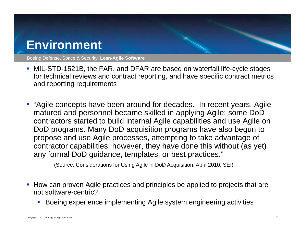#### **Environment**

Boeing Defense, Space & Security| **Lean-Agile Software**

- MIL-STD-1521B, the FAR, and DFAR are based on waterfall life-cycle stages for technical reviews and contract reporting, and have specific contract metrics and reporting requirements
- " "Agile concepts have been around for decades. In recent years, Agile matured and personnel became skilled in applying Agile; some DoD contractors started to build internal Agile capabilities and use Agile on DoD programs. Many DoD acquisition programs have also begun to propose and use Agile processes, attempting to take advantage of contractor capabilities; however, they have done this without (as yet) any formal DoD guidance, templates, or best practices."

(Source: Considerations for Using Agile in DoD Acquisition, April 2010, SEI)

- **How can proven Agile practices and principles be applied to projects that are** not software centric? software-centric?
	- П Boeing experience implementing Agile system engineering activities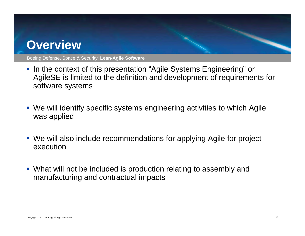#### **Overview**

- In the context of this presentation "Agile Systems Engineering" or AgileSE is limited to the definition and development of requirements for software systems
- We will identify specific systems engineering activities to which Agile was applied
- We will also include recommendations for applying Agile for project execution
- What will not be included is production relating to assembly and manufacturing and contractual impacts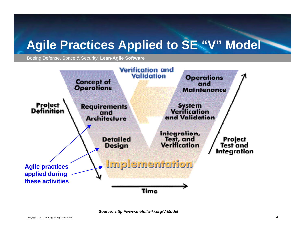#### **Agile Practices Applied to SE "V" Model Practices**

Boeing Defense, Space & Security| **Lean-Agile Software**



*Source: http://www.thefullwiki.org/V-Model*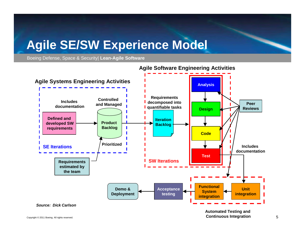#### **Agile SE/SW Experience Model**

Boeing Defense, Space & Security| **Lean-Agile Software**



#### **Agile Software Engineering Activities**

**Continuous Integration**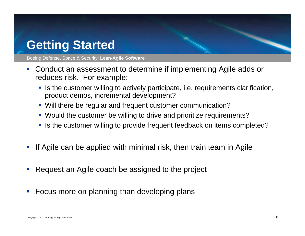#### **Getting Started**

- $\mathcal{L}_{\mathcal{A}}$ Conduct an assessment to determine if implementing Agile adds or reduces risk. For example:
	- **If is the customer willing to actively participate, i.e. requirements clarification,** product demos, incremental development?
	- Will there be regular and frequent customer communication?
	- Would the customer be willing to drive and prioritize requirements?
	- Is the customer willing to provide frequent feedback on items completed?
- $\mathcal{L}_{\mathcal{A}}$ If Agile can be applied with minimal risk, then train team in Agile
- $\mathbb{R}^n$ Request an Agile coach be assigned to the project
- $\mathcal{L}_{\mathcal{A}}$ **Focus more on planning than developing plans**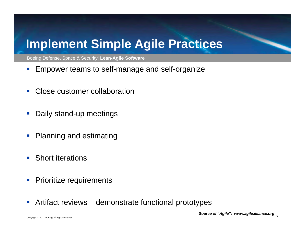### **Implement Simple Agile Practices Agile**

- ■ Empower teams to self-manage and self-organize
- $\mathcal{L}_{\mathcal{A}}$ Close customer collaboration
- $\mathbb{R}^n$ Daily stand-up meetings
- $\mathcal{O}^{\mathcal{A}}$ Planning and estimating
- $\mathcal{L}_{\mathcal{A}}$ Short iterations
- $\mathbb{R}^3$ Prioritize requirements
- $\mathbb{R}^n$ Artifact reviews – demonstrate functional prototypes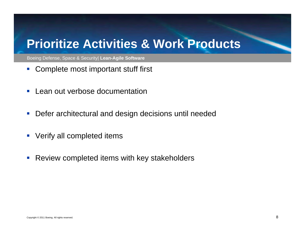#### **Prioritize Activities & Work Products**

- $\mathcal{L}_{\mathcal{A}}$ • Complete most important stuff first
- $\mathcal{L}_{\mathcal{A}}$ Lean out verbose documentation
- $\mathcal{L}_{\mathcal{A}}$ Defer architectural and design decisions until needed
- $\mathcal{L}_{\mathcal{A}}$ Verify all completed items
- $\mathcal{L}_{\mathcal{A}}$ Review completed items with key stakeholders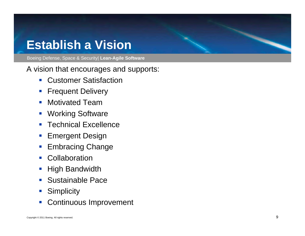#### **Establish a Vision**

Boeing Defense, Space & Security| **Lean-Agile Software**

A vision that encourages and supports:

- **Customer Satisfaction**
- $\mathbb{R}^3$ Frequent Delivery
- $\mathcal{L}_{\mathcal{A}}$  Motivated Team
- $\mathcal{L}_{\mathcal{A}}$ Working Software
- $\overline{\mathcal{A}}$ Technical Excellence
- $\mathbb{R}^n$ Emergent Design
- $\mathcal{L}_{\mathcal{A}}$ Embracing Change
- $\mathcal{L}_{\mathcal{A}}$ **Collaboration**
- $\mathcal{L}_{\mathcal{A}}$ High Bandwidth
- $\overline{\phantom{a}}$ Sustainable Pace
- $\mathcal{L}_{\mathcal{A}}$ **Simplicity**
- $\mathcal{L}_{\mathcal{A}}$ Continuous Improvement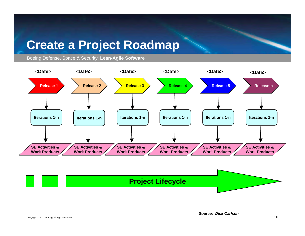#### **Create <sup>a</sup> Project Roadmap**



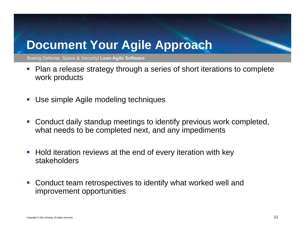#### **Document Your Agile Approach**

- • Plan a release strategy through a series of short iterations to complete work products
- $\mathcal{L}_{\mathcal{A}}$ ■ Use simple Agile modeling techniques
- $\mathcal{L}_{\mathcal{A}}$  Conduct daily standup meetings to identify previous work completed, what needs to be completed next, and any impediments
- $\mathbb{R}^2$  Hold iteration reviews at the end of every iteration with key stakeholders
- $\mathbb{R}^n$  Conduct team retrospectives to identify what worked well and improvement opportunities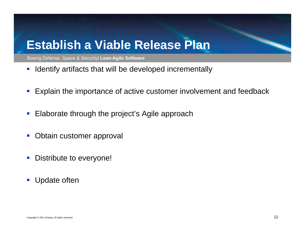#### **Establish a Viable Release Plan Release**

- $\mathbb{R}^2$ ■ Identify artifacts that will be developed incrementally
- $\mathcal{L}_{\mathcal{A}}$ Explain the importance of active customer involvement and feedback
- $\Box$ Elaborate through the project's Agile approach
- $\mathcal{L}_{\mathcal{A}}$ Obtain customer approval
- $\mathbb{R}^2$ Distribute to everyone!
- $\mathcal{L}_{\mathcal{A}}$ Update often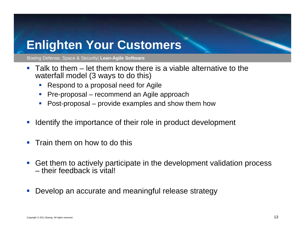#### **Enlighten Your Customers Customers**

- Talk to them let them know there is a viable alternative to the waterfall model (3 ways to do this)
	- $\mathcal{L}_{\mathcal{A}}$ Respond to a proposal need for Agile
	- Г Pre-proposal – recommend an Agile approach
	- Post-proposal provide examples and show them how
- $\mathcal{L}_{\mathcal{A}}$ Identify the importance of their role in product development
- $\mathbb{R}^n$ Train them on how to do this
- $\mathcal{L}_{\mathcal{A}}$ Get them to actively participate in the development validation process – their feedback is vital!
- $\mathcal{L}_{\mathcal{A}}$  $\blacksquare$  Develop an accurate and meaningful release strategy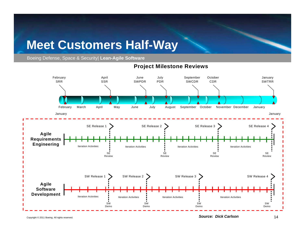## **Meet Customers Half Way -Way<br>
-Way<br>Project Milestone Reviews**

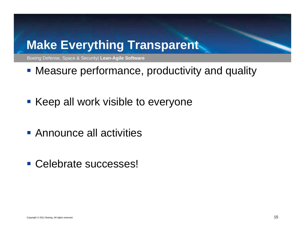#### **Make Everything Transparent**

- **Measure performance, productivity and quality**
- **Keep all work visible to everyone**
- Announce all activities
- Celebrate successes!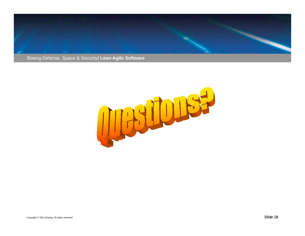